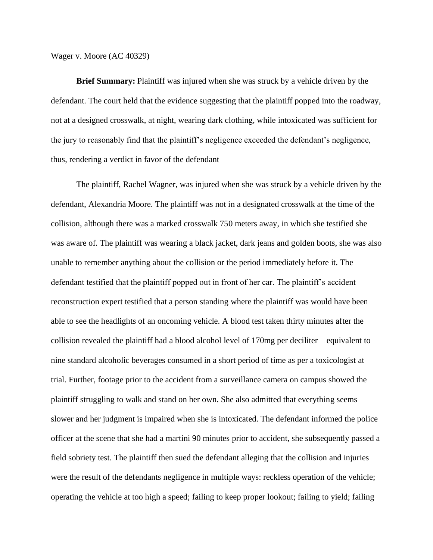Wager v. Moore (AC 40329)

**Brief Summary:** Plaintiff was injured when she was struck by a vehicle driven by the defendant. The court held that the evidence suggesting that the plaintiff popped into the roadway, not at a designed crosswalk, at night, wearing dark clothing, while intoxicated was sufficient for the jury to reasonably find that the plaintiff's negligence exceeded the defendant's negligence, thus, rendering a verdict in favor of the defendant

The plaintiff, Rachel Wagner, was injured when she was struck by a vehicle driven by the defendant, Alexandria Moore. The plaintiff was not in a designated crosswalk at the time of the collision, although there was a marked crosswalk 750 meters away, in which she testified she was aware of. The plaintiff was wearing a black jacket, dark jeans and golden boots, she was also unable to remember anything about the collision or the period immediately before it. The defendant testified that the plaintiff popped out in front of her car. The plaintiff's accident reconstruction expert testified that a person standing where the plaintiff was would have been able to see the headlights of an oncoming vehicle. A blood test taken thirty minutes after the collision revealed the plaintiff had a blood alcohol level of 170mg per deciliter—equivalent to nine standard alcoholic beverages consumed in a short period of time as per a toxicologist at trial. Further, footage prior to the accident from a surveillance camera on campus showed the plaintiff struggling to walk and stand on her own. She also admitted that everything seems slower and her judgment is impaired when she is intoxicated. The defendant informed the police officer at the scene that she had a martini 90 minutes prior to accident, she subsequently passed a field sobriety test. The plaintiff then sued the defendant alleging that the collision and injuries were the result of the defendants negligence in multiple ways: reckless operation of the vehicle; operating the vehicle at too high a speed; failing to keep proper lookout; failing to yield; failing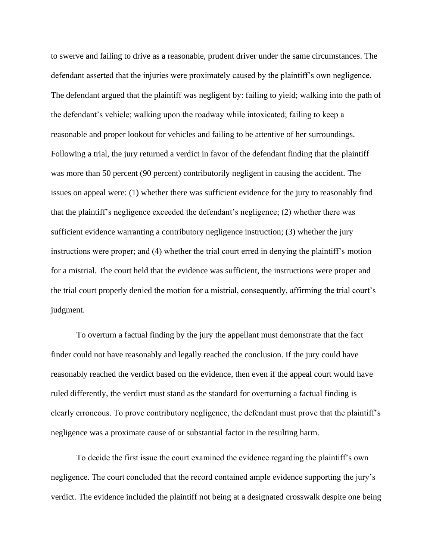to swerve and failing to drive as a reasonable, prudent driver under the same circumstances. The defendant asserted that the injuries were proximately caused by the plaintiff's own negligence. The defendant argued that the plaintiff was negligent by: failing to yield; walking into the path of the defendant's vehicle; walking upon the roadway while intoxicated; failing to keep a reasonable and proper lookout for vehicles and failing to be attentive of her surroundings. Following a trial, the jury returned a verdict in favor of the defendant finding that the plaintiff was more than 50 percent (90 percent) contributorily negligent in causing the accident. The issues on appeal were: (1) whether there was sufficient evidence for the jury to reasonably find that the plaintiff's negligence exceeded the defendant's negligence; (2) whether there was sufficient evidence warranting a contributory negligence instruction; (3) whether the jury instructions were proper; and (4) whether the trial court erred in denying the plaintiff's motion for a mistrial. The court held that the evidence was sufficient, the instructions were proper and the trial court properly denied the motion for a mistrial, consequently, affirming the trial court's judgment.

To overturn a factual finding by the jury the appellant must demonstrate that the fact finder could not have reasonably and legally reached the conclusion. If the jury could have reasonably reached the verdict based on the evidence, then even if the appeal court would have ruled differently, the verdict must stand as the standard for overturning a factual finding is clearly erroneous. To prove contributory negligence, the defendant must prove that the plaintiff's negligence was a proximate cause of or substantial factor in the resulting harm.

To decide the first issue the court examined the evidence regarding the plaintiff's own negligence. The court concluded that the record contained ample evidence supporting the jury's verdict. The evidence included the plaintiff not being at a designated crosswalk despite one being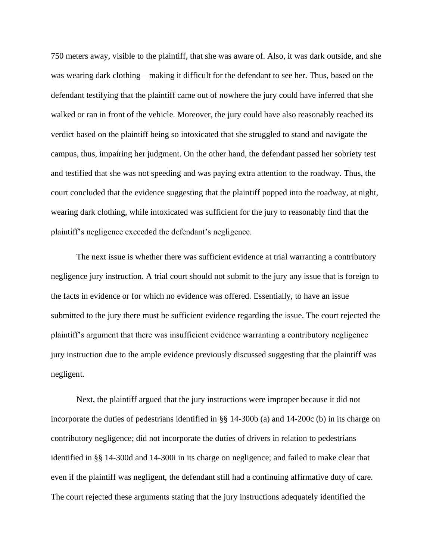750 meters away, visible to the plaintiff, that she was aware of. Also, it was dark outside, and she was wearing dark clothing—making it difficult for the defendant to see her. Thus, based on the defendant testifying that the plaintiff came out of nowhere the jury could have inferred that she walked or ran in front of the vehicle. Moreover, the jury could have also reasonably reached its verdict based on the plaintiff being so intoxicated that she struggled to stand and navigate the campus, thus, impairing her judgment. On the other hand, the defendant passed her sobriety test and testified that she was not speeding and was paying extra attention to the roadway. Thus, the court concluded that the evidence suggesting that the plaintiff popped into the roadway, at night, wearing dark clothing, while intoxicated was sufficient for the jury to reasonably find that the plaintiff's negligence exceeded the defendant's negligence.

The next issue is whether there was sufficient evidence at trial warranting a contributory negligence jury instruction. A trial court should not submit to the jury any issue that is foreign to the facts in evidence or for which no evidence was offered. Essentially, to have an issue submitted to the jury there must be sufficient evidence regarding the issue. The court rejected the plaintiff's argument that there was insufficient evidence warranting a contributory negligence jury instruction due to the ample evidence previously discussed suggesting that the plaintiff was negligent.

Next, the plaintiff argued that the jury instructions were improper because it did not incorporate the duties of pedestrians identified in §§ 14-300b (a) and 14-200c (b) in its charge on contributory negligence; did not incorporate the duties of drivers in relation to pedestrians identified in §§ 14-300d and 14-300i in its charge on negligence; and failed to make clear that even if the plaintiff was negligent, the defendant still had a continuing affirmative duty of care. The court rejected these arguments stating that the jury instructions adequately identified the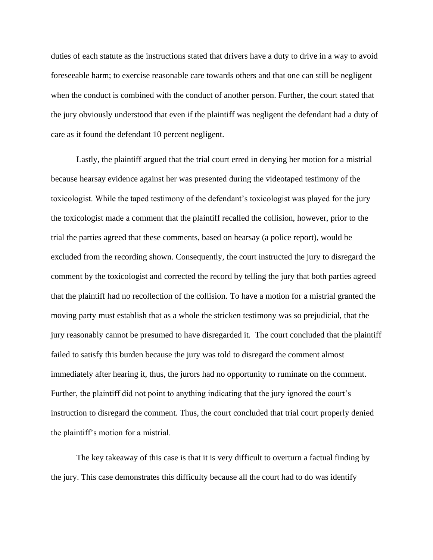duties of each statute as the instructions stated that drivers have a duty to drive in a way to avoid foreseeable harm; to exercise reasonable care towards others and that one can still be negligent when the conduct is combined with the conduct of another person. Further, the court stated that the jury obviously understood that even if the plaintiff was negligent the defendant had a duty of care as it found the defendant 10 percent negligent.

Lastly, the plaintiff argued that the trial court erred in denying her motion for a mistrial because hearsay evidence against her was presented during the videotaped testimony of the toxicologist. While the taped testimony of the defendant's toxicologist was played for the jury the toxicologist made a comment that the plaintiff recalled the collision, however, prior to the trial the parties agreed that these comments, based on hearsay (a police report), would be excluded from the recording shown. Consequently, the court instructed the jury to disregard the comment by the toxicologist and corrected the record by telling the jury that both parties agreed that the plaintiff had no recollection of the collision. To have a motion for a mistrial granted the moving party must establish that as a whole the stricken testimony was so prejudicial, that the jury reasonably cannot be presumed to have disregarded it. The court concluded that the plaintiff failed to satisfy this burden because the jury was told to disregard the comment almost immediately after hearing it, thus, the jurors had no opportunity to ruminate on the comment. Further, the plaintiff did not point to anything indicating that the jury ignored the court's instruction to disregard the comment. Thus, the court concluded that trial court properly denied the plaintiff's motion for a mistrial.

The key takeaway of this case is that it is very difficult to overturn a factual finding by the jury. This case demonstrates this difficulty because all the court had to do was identify